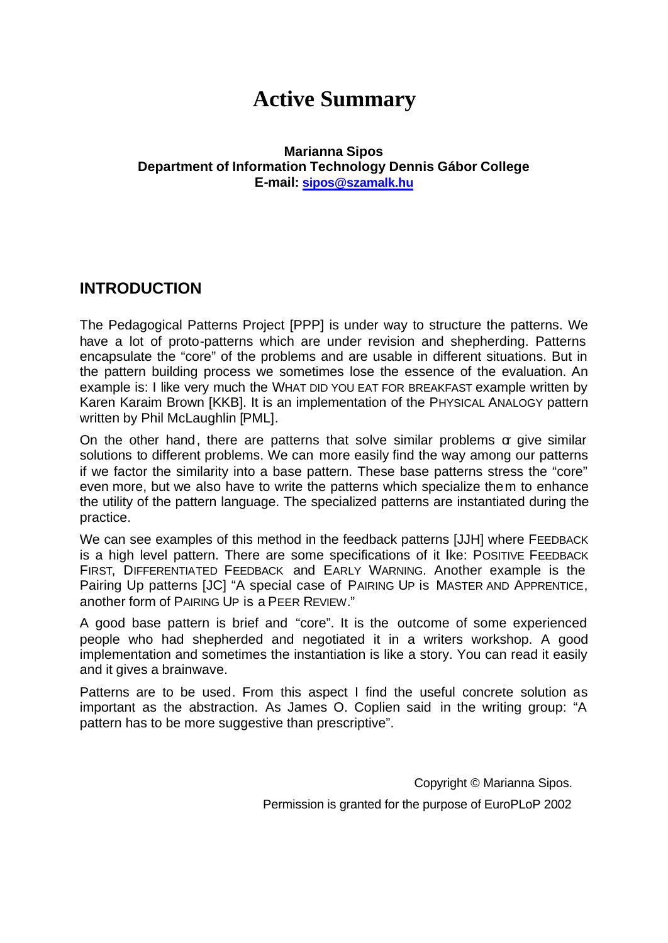# **Active Summary**

### **Marianna Sipos Department of Information Technology Dennis Gábor College E-mail: sipos@szamalk.hu**

## **INTRODUCTION**

The Pedagogical Patterns Project [PPP] is under way to structure the patterns. We have a lot of proto-patterns which are under revision and shepherding. Patterns encapsulate the "core" of the problems and are usable in different situations. But in the pattern building process we sometimes lose the essence of the evaluation. An example is: I like very much the WHAT DID YOU EAT FOR BREAKFAST example written by Karen Karaim Brown [KKB]. It is an implementation of the PHYSICAL ANALOGY pattern written by Phil McLaughlin [PML].

On the other hand, there are patterns that solve similar problems  $\sigma$  give similar solutions to different problems. We can more easily find the way among our patterns if we factor the similarity into a base pattern. These base patterns stress the "core" even more, but we also have to write the patterns which specialize them to enhance the utility of the pattern language. The specialized patterns are instantiated during the practice.

We can see examples of this method in the feedback patterns [JJH] where FEEDBACK is a high level pattern. There are some specifications of it like: POSITIVE FEEDBACK FIRST, DIFFERENTIATED FEEDBACK and EARLY WARNING. Another example is the Pairing Up patterns [JC] "A special case of PAIRING UP is MASTER AND APPRENTICE, another form of PAIRING UP is a PEER REVIEW."

A good base pattern is brief and "core". It is the outcome of some experienced people who had shepherded and negotiated it in a writers workshop. A good implementation and sometimes the instantiation is like a story. You can read it easily and it gives a brainwave.

Patterns are to be used. From this aspect I find the useful concrete solution as important as the abstraction. As James O. Coplien said in the writing group: "A pattern has to be more suggestive than prescriptive".

> Copyright © Marianna Sipos. Permission is granted for the purpose of EuroPLoP 2002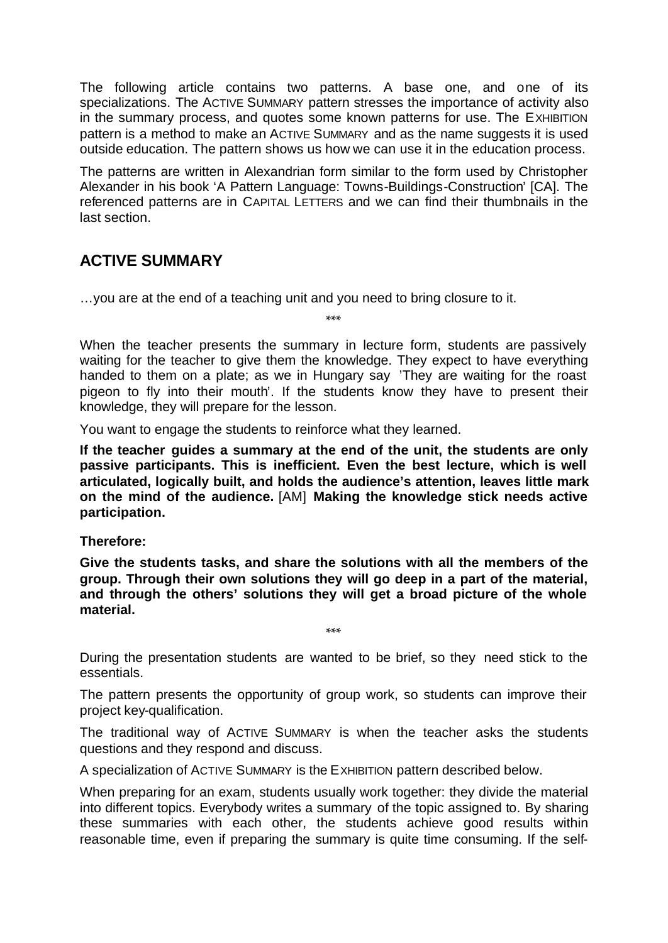The following article contains two patterns. A base one, and one of its specializations. The ACTIVE SUMMARY pattern stresses the importance of activity also in the summary process, and quotes some known patterns for use. The EXHIBITION pattern is a method to make an ACTIVE SUMMARY and as the name suggests it is used outside education. The pattern shows us how we can use it in the education process.

The patterns are written in Alexandrian form similar to the form used by Christopher Alexander in his book 'A Pattern Language: Towns-Buildings-Construction' [CA]. The referenced patterns are in CAPITAL LETTERS and we can find their thumbnails in the last section.

# **ACTIVE SUMMARY**

…you are at the end of a teaching unit and you need to bring closure to it.

\*\*\*

When the teacher presents the summary in lecture form, students are passively waiting for the teacher to give them the knowledge. They expect to have everything handed to them on a plate; as we in Hungary say 'They are waiting for the roast pigeon to fly into their mouth'. If the students know they have to present their knowledge, they will prepare for the lesson.

You want to engage the students to reinforce what they learned.

**If the teacher guides a summary at the end of the unit, the students are only passive participants. This is inefficient. Even the best lecture, which is well articulated, logically built, and holds the audience's attention, leaves little mark on the mind of the audience.** [AM] **Making the knowledge stick needs active participation.**

**Therefore:**

**Give the students tasks, and share the solutions with all the members of the group. Through their own solutions they will go deep in a part of the material, and through the others' solutions they will get a broad picture of the whole material.**

\*\*\*

During the presentation students are wanted to be brief, so they need stick to the essentials.

The pattern presents the opportunity of group work, so students can improve their project key-qualification.

The traditional way of ACTIVE SUMMARY is when the teacher asks the students questions and they respond and discuss.

A specialization of ACTIVE SUMMARY is the EXHIBITION pattern described below.

When preparing for an exam, students usually work together: they divide the material into different topics. Everybody writes a summary of the topic assigned to. By sharing these summaries with each other, the students achieve good results within reasonable time, even if preparing the summary is quite time consuming. If the self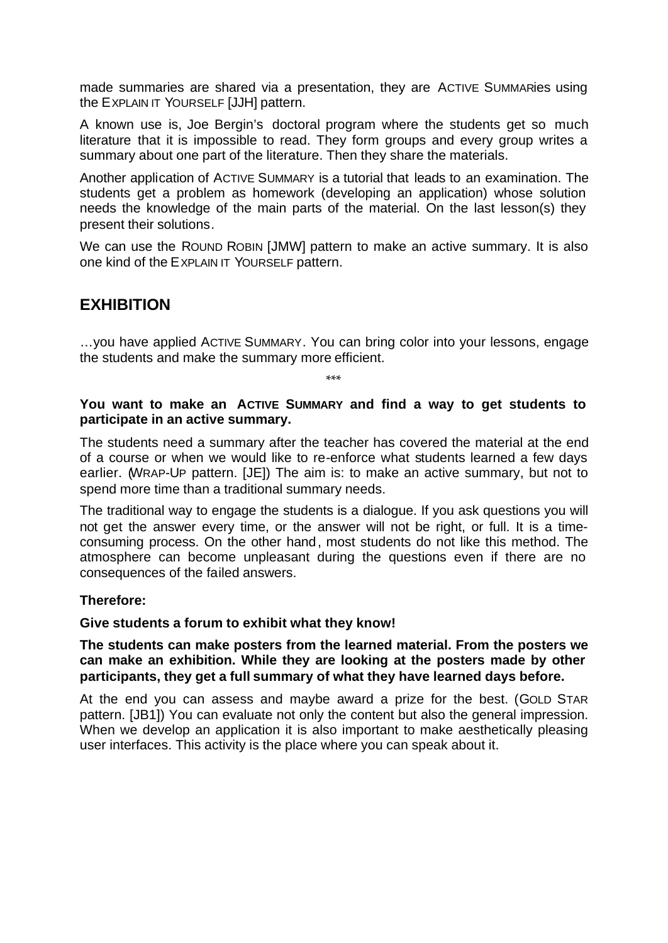made summaries are shared via a presentation, they are ACTIVE SUMMARies using the EXPLAIN IT YOURSELF [JJH] pattern.

A known use is, Joe Bergin's doctoral program where the students get so much literature that it is impossible to read. They form groups and every group writes a summary about one part of the literature. Then they share the materials.

Another application of ACTIVE SUMMARY is a tutorial that leads to an examination. The students get a problem as homework (developing an application) whose solution needs the knowledge of the main parts of the material. On the last lesson(s) they present their solutions.

We can use the ROUND ROBIN [JMW] pattern to make an active summary. It is also one kind of the EXPLAIN IT YOURSELF pattern.

## **EXHIBITION**

…you have applied ACTIVE SUMMARY. You can bring color into your lessons, engage the students and make the summary more efficient.

\*\*\*

#### **You want to make an ACTIVE SUMMARY and find a way to get students to participate in an active summary.**

The students need a summary after the teacher has covered the material at the end of a course or when we would like to re-enforce what students learned a few days earlier. (WRAP-UP pattern. [JE]) The aim is: to make an active summary, but not to spend more time than a traditional summary needs.

The traditional way to engage the students is a dialogue. If you ask questions you will not get the answer every time, or the answer will not be right, or full. It is a timeconsuming process. On the other hand, most students do not like this method. The atmosphere can become unpleasant during the questions even if there are no consequences of the failed answers.

#### **Therefore:**

#### **Give students a forum to exhibit what they know!**

#### **The students can make posters from the learned material. From the posters we can make an exhibition. While they are looking at the posters made by other participants, they get a full summary of what they have learned days before.**

At the end you can assess and maybe award a prize for the best. (GOLD STAR pattern. [JB1]) You can evaluate not only the content but also the general impression. When we develop an application it is also important to make aesthetically pleasing user interfaces. This activity is the place where you can speak about it.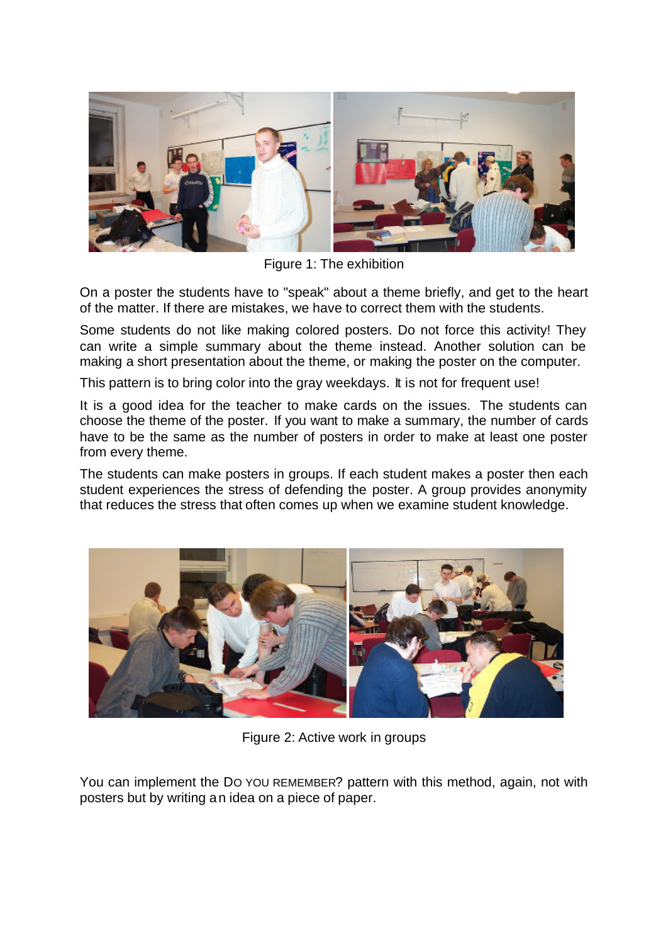

Figure 1: The exhibition

On a poster the students have to "speak" about a theme briefly, and get to the heart of the matter. If there are mistakes, we have to correct them with the students.

Some students do not like making colored posters. Do not force this activity! They can write a simple summary about the theme instead. Another solution can be making a short presentation about the theme, or making the poster on the computer.

This pattern is to bring color into the gray weekdays. It is not for frequent use!

It is a good idea for the teacher to make cards on the issues. The students can choose the theme of the poster. If you want to make a summary, the number of cards have to be the same as the number of posters in order to make at least one poster from every theme.

The students can make posters in groups. If each student makes a poster then each student experiences the stress of defending the poster. A group provides anonymity that reduces the stress that often comes up when we examine student knowledge.



Figure 2: Active work in groups

You can implement the DO YOU REMEMBER? pattern with this method, again, not with posters but by writing an idea on a piece of paper.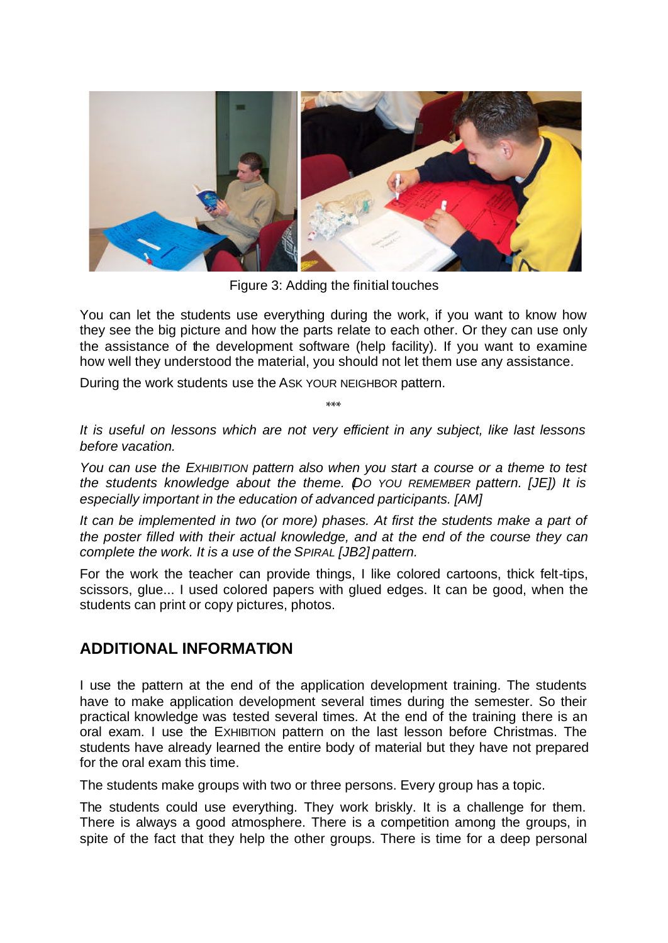

Figure 3: Adding the finitial touches

You can let the students use everything during the work, if you want to know how they see the big picture and how the parts relate to each other. Or they can use only the assistance of the development software (help facility). If you want to examine how well they understood the material, you should not let them use any assistance.

During the work students use the ASK YOUR NEIGHBOR pattern.

\*\*\*

*It is useful on lessons which are not very efficient in any subject, like last lessons before vacation.*

*You can use the EXHIBITION pattern also when you start a course or a theme to test the students knowledge about the theme. (DO YOU REMEMBER pattern. [JE]) It is especially important in the education of advanced participants. [AM]*

*It can be implemented in two (or more) phases. At first the students make a part of the poster filled with their actual knowledge, and at the end of the course they can complete the work. It is a use of the SPIRAL [JB2] pattern.*

For the work the teacher can provide things, I like colored cartoons, thick felt-tips, scissors, glue... I used colored papers with glued edges. It can be good, when the students can print or copy pictures, photos.

# **ADDITIONAL INFORMATION**

I use the pattern at the end of the application development training. The students have to make application development several times during the semester. So their practical knowledge was tested several times. At the end of the training there is an oral exam. I use the EXHIBITION pattern on the last lesson before Christmas. The students have already learned the entire body of material but they have not prepared for the oral exam this time.

The students make groups with two or three persons. Every group has a topic.

The students could use everything. They work briskly. It is a challenge for them. There is always a good atmosphere. There is a competition among the groups, in spite of the fact that they help the other groups. There is time for a deep personal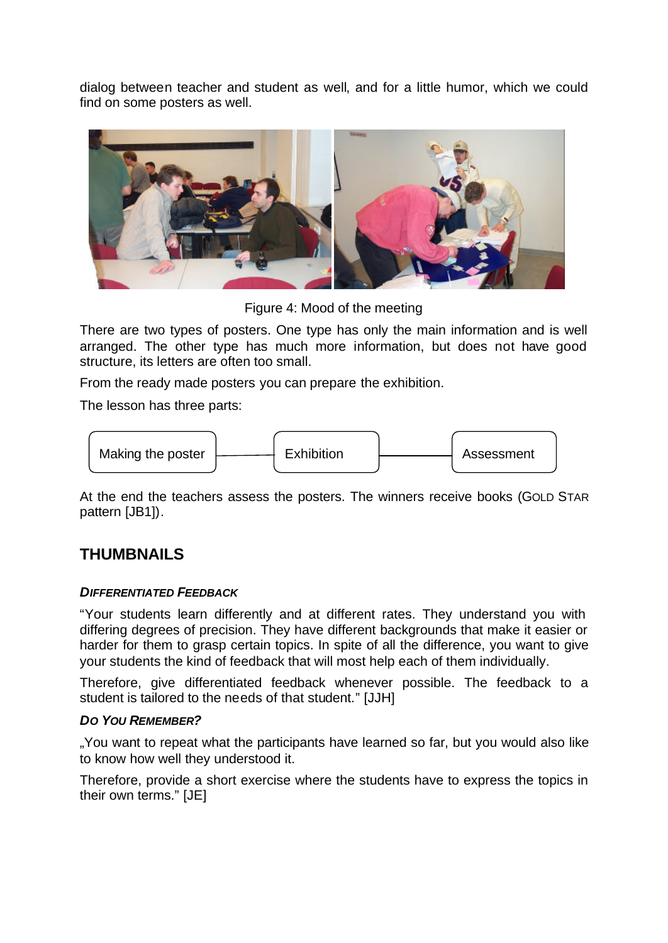dialog between teacher and student as well, and for a little humor, which we could find on some posters as well.



Figure 4: Mood of the meeting

There are two types of posters. One type has only the main information and is well arranged. The other type has much more information, but does not have good structure, its letters are often too small.

From the ready made posters you can prepare the exhibition.

The lesson has three parts:



At the end the teachers assess the posters. The winners receive books (GOLD STAR pattern [JB1]).

# **THUMBNAILS**

### *DIFFERENTIATED FEEDBACK*

"Your students learn differently and at different rates. They understand you with differing degrees of precision. They have different backgrounds that make it easier or harder for them to grasp certain topics. In spite of all the difference, you want to give your students the kind of feedback that will most help each of them individually.

Therefore, give differentiated feedback whenever possible. The feedback to a student is tailored to the needs of that student." [JJH]

### *DO YOU REMEMBER?*

"You want to repeat what the participants have learned so far, but you would also like to know how well they understood it.

Therefore, provide a short exercise where the students have to express the topics in their own terms." [JE]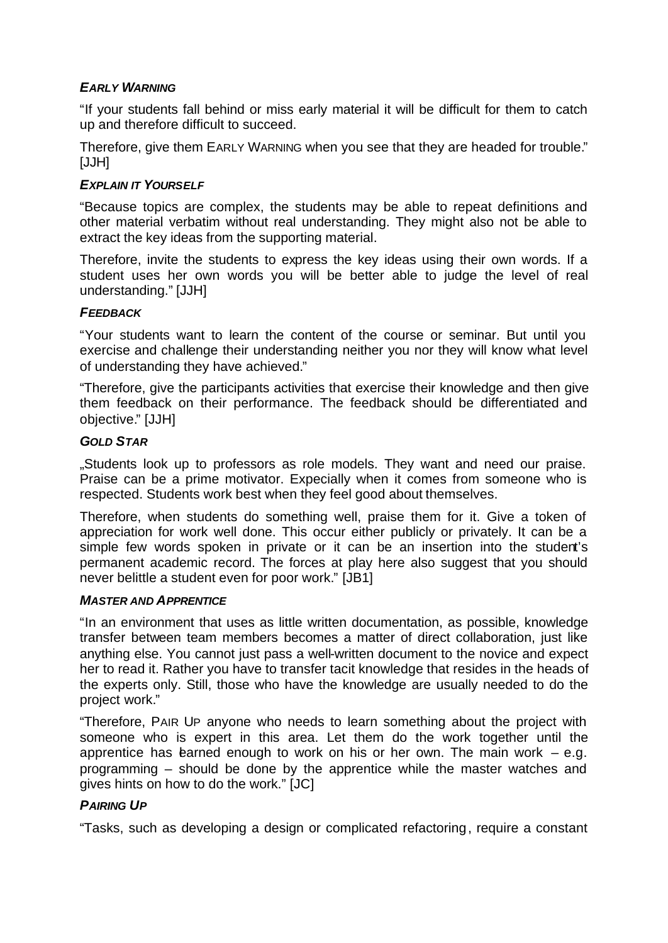### *EARLY WARNING*

"If your students fall behind or miss early material it will be difficult for them to catch up and therefore difficult to succeed.

Therefore, give them EARLY WARNING when you see that they are headed for trouble." [JJH]

### *EXPLAIN IT YOURSELF*

"Because topics are complex, the students may be able to repeat definitions and other material verbatim without real understanding. They might also not be able to extract the key ideas from the supporting material.

Therefore, invite the students to express the key ideas using their own words. If a student uses her own words you will be better able to judge the level of real understanding." [JJH]

### *FEEDBACK*

"Your students want to learn the content of the course or seminar. But until you exercise and challenge their understanding neither you nor they will know what level of understanding they have achieved."

"Therefore, give the participants activities that exercise their knowledge and then give them feedback on their performance. The feedback should be differentiated and objective." [JJH]

### *GOLD STAR*

..Students look up to professors as role models. They want and need our praise. Praise can be a prime motivator. Expecially when it comes from someone who is respected. Students work best when they feel good about themselves.

Therefore, when students do something well, praise them for it. Give a token of appreciation for work well done. This occur either publicly or privately. It can be a simple few words spoken in private or it can be an insertion into the student's permanent academic record. The forces at play here also suggest that you should never belittle a student even for poor work." [JB1]

### *MASTER AND APPRENTICE*

"In an environment that uses as little written documentation, as possible, knowledge transfer between team members becomes a matter of direct collaboration, just like anything else. You cannot just pass a well-written document to the novice and expect her to read it. Rather you have to transfer tacit knowledge that resides in the heads of the experts only. Still, those who have the knowledge are usually needed to do the project work."

"Therefore, PAIR UP anyone who needs to learn something about the project with someone who is expert in this area. Let them do the work together until the apprentice has learned enough to work on his or her own. The main work  $-$  e.g. programming – should be done by the apprentice while the master watches and gives hints on how to do the work." [JC]

### *PAIRING UP*

"Tasks, such as developing a design or complicated refactoring, require a constant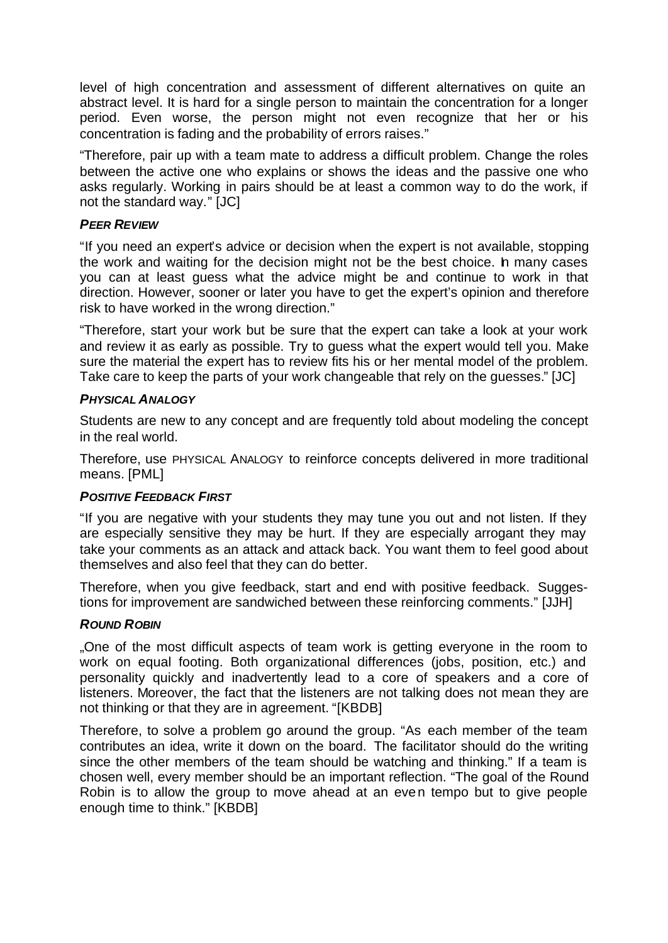level of high concentration and assessment of different alternatives on quite an abstract level. It is hard for a single person to maintain the concentration for a longer period. Even worse, the person might not even recognize that her or his concentration is fading and the probability of errors raises."

"Therefore, pair up with a team mate to address a difficult problem. Change the roles between the active one who explains or shows the ideas and the passive one who asks regularly. Working in pairs should be at least a common way to do the work, if not the standard way." [JC]

### *PEER REVIEW*

"If you need an expert's advice or decision when the expert is not available, stopping the work and waiting for the decision might not be the best choice. In many cases you can at least guess what the advice might be and continue to work in that direction. However, sooner or later you have to get the expert's opinion and therefore risk to have worked in the wrong direction."

"Therefore, start your work but be sure that the expert can take a look at your work and review it as early as possible. Try to guess what the expert would tell you. Make sure the material the expert has to review fits his or her mental model of the problem. Take care to keep the parts of your work changeable that rely on the guesses." [JC]

### **PHYSICAL ANALOGY**

Students are new to any concept and are frequently told about modeling the concept in the real world.

Therefore, use PHYSICAL ANALOGY to reinforce concepts delivered in more traditional means. [PML]

### *POSITIVE FEEDBACK FIRST*

"If you are negative with your students they may tune you out and not listen. If they are especially sensitive they may be hurt. If they are especially arrogant they may take your comments as an attack and attack back. You want them to feel good about themselves and also feel that they can do better.

Therefore, when you give feedback, start and end with positive feedback. Suggestions for improvement are sandwiched between these reinforcing comments." [JJH]

### *ROUND ROBIN*

"One of the most difficult aspects of team work is getting everyone in the room to work on equal footing. Both organizational differences (jobs, position, etc.) and personality quickly and inadvertently lead to a core of speakers and a core of listeners. Moreover, the fact that the listeners are not talking does not mean they are not thinking or that they are in agreement. "[KBDB]

Therefore, to solve a problem go around the group. "As each member of the team contributes an idea, write it down on the board. The facilitator should do the writing since the other members of the team should be watching and thinking." If a team is chosen well, every member should be an important reflection. "The goal of the Round Robin is to allow the group to move ahead at an even tempo but to give people enough time to think." [KBDB]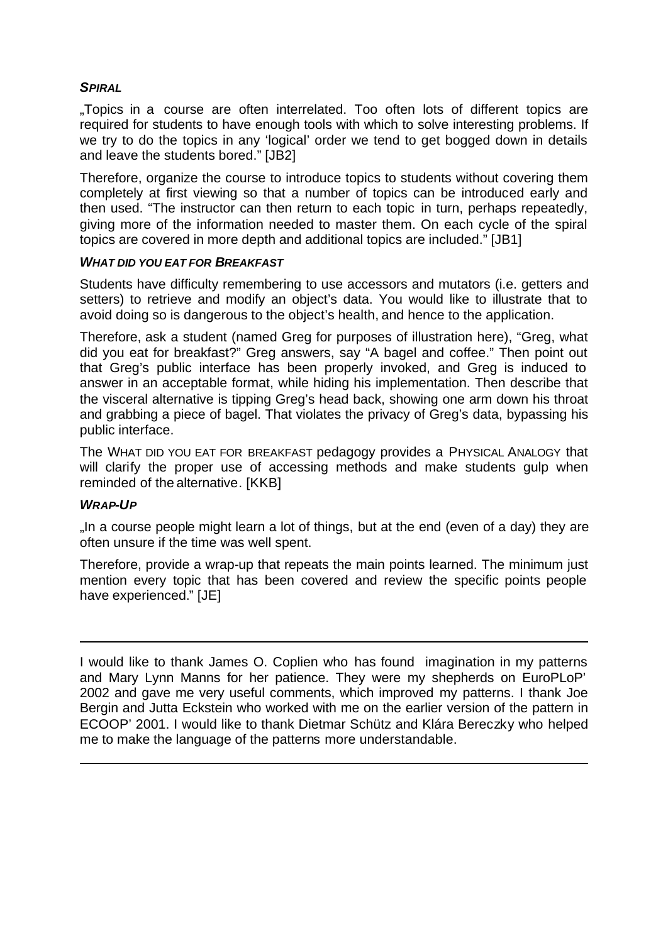### *SPIRAL*

"Topics in a course are often interrelated. Too often lots of different topics are required for students to have enough tools with which to solve interesting problems. If we try to do the topics in any 'logical' order we tend to get bogged down in details and leave the students bored." [JB2]

Therefore, organize the course to introduce topics to students without covering them completely at first viewing so that a number of topics can be introduced early and then used. "The instructor can then return to each topic in turn, perhaps repeatedly, giving more of the information needed to master them. On each cycle of the spiral topics are covered in more depth and additional topics are included." [JB1]

#### *WHAT DID YOU EAT FOR BREAKFAST*

Students have difficulty remembering to use accessors and mutators (i.e. getters and setters) to retrieve and modify an object's data. You would like to illustrate that to avoid doing so is dangerous to the object's health, and hence to the application.

Therefore, ask a student (named Greg for purposes of illustration here), "Greg, what did you eat for breakfast?" Greg answers, say "A bagel and coffee." Then point out that Greg's public interface has been properly invoked, and Greg is induced to answer in an acceptable format, while hiding his implementation. Then describe that the visceral alternative is tipping Greg's head back, showing one arm down his throat and grabbing a piece of bagel. That violates the privacy of Greg's data, bypassing his public interface.

The WHAT DID YOU EAT FOR BREAKFAST pedagogy provides a PHYSICAL ANALOGY that will clarify the proper use of accessing methods and make students gulp when reminded of the alternative. [KKB]

### *WRAP-UP*

j

j

"In a course people might learn a lot of things, but at the end (even of a day) they are often unsure if the time was well spent.

Therefore, provide a wrap-up that repeats the main points learned. The minimum just mention every topic that has been covered and review the specific points people have experienced." [JE]

I would like to thank James O. Coplien who has found imagination in my patterns and Mary Lynn Manns for her patience. They were my shepherds on EuroPLoP' 2002 and gave me very useful comments, which improved my patterns. I thank Joe Bergin and Jutta Eckstein who worked with me on the earlier version of the pattern in ECOOP' 2001. I would like to thank Dietmar Schütz and Klára Bereczky who helped me to make the language of the patterns more understandable.